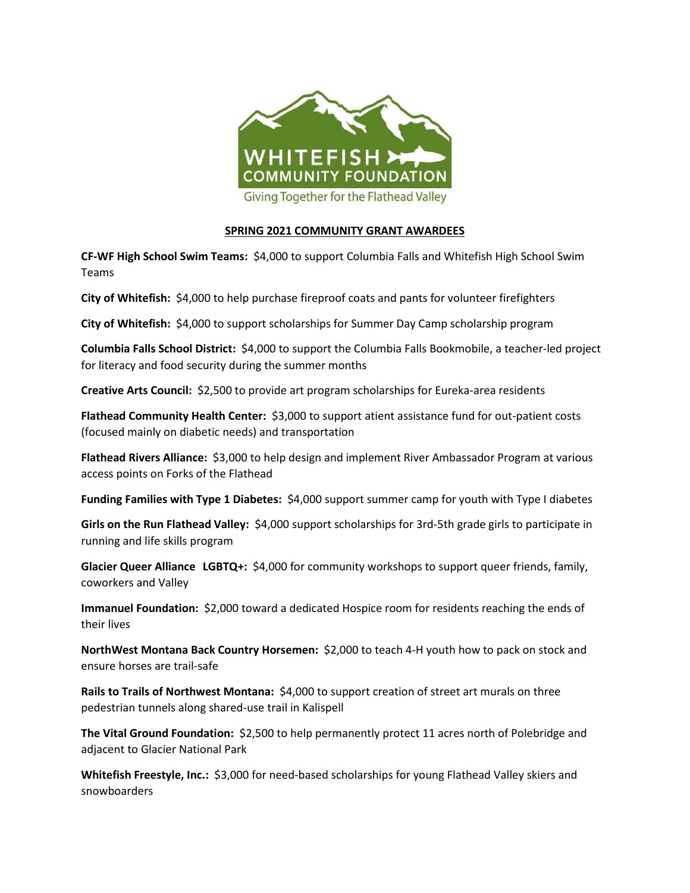

## **SPRING 2021 COMMUNITY GRANT AWARDEES**

**CF-WF High School Swim Teams:** \$4,000 to support Columbia Falls and Whitefish High School Swim Teams

**City of Whitefish:** \$4,000 to help purchase fireproof coats and pants for volunteer firefighters

**City of Whitefish:** \$4,000 to support scholarships for Summer Day Camp scholarship program

**Columbia Falls School District:** \$4,000 to support the Columbia Falls Bookmobile, a teacher-led project for literacy and food security during the summer months

**Creative Arts Council:** \$2,500 to provide art program scholarships for Eureka-area residents

**Flathead Community Health Center:** \$3,000 to support atient assistance fund for out-patient costs (focused mainly on diabetic needs) and transportation

**Flathead Rivers Alliance:** \$3,000 to help design and implement River Ambassador Program at various access points on Forks of the Flathead

**Funding Families with Type 1 Diabetes:** \$4,000 support summer camp for youth with Type I diabetes

**Girls on the Run Flathead Valley:** \$4,000 support scholarships for 3rd-5th grade girls to participate in running and life skills program

**Glacier Queer Alliance LGBTQ+:** \$4,000 for community workshops to support queer friends, family, coworkers and Valley

**Immanuel Foundation:** \$2,000 toward a dedicated Hospice room for residents reaching the ends of their lives

**NorthWest Montana Back Country Horsemen:** \$2,000 to teach 4-H youth how to pack on stock and ensure horses are trail-safe

**Rails to Trails of Northwest Montana:** \$4,000 to support creation of street art murals on three pedestrian tunnels along shared-use trail in Kalispell

**The Vital Ground Foundation:** \$2,500 to help permanently protect 11 acres north of Polebridge and adjacent to Glacier National Park

**Whitefish Freestyle, Inc.:** \$3,000 for need-based scholarships for young Flathead Valley skiers and snowboarders